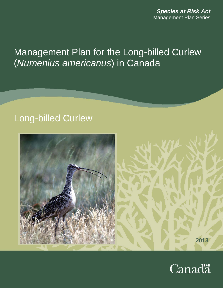*Species at Risk Act* Management Plan Series

# Management Plan for the Long-billed Curlew (*Numenius americanus*) in Canada

# Long-billed Curlew



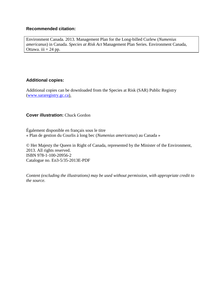## **Recommended citation:**

Environment Canada. 2013. Management Plan for the Long-billed Curlew (*Numenius americanus*) in Canada. *Species at Risk Act* Management Plan Series. Environment Canada, Ottawa. iii  $+ 24$  pp.

## **Additional copies:**

Additional copies can be downloaded from the Species at Risk (SAR) Public Registry [\(www.sararegistry.gc.ca\)](http://www.sararegistry.gc.ca/).

### **Cover illustration:** Chuck Gordon

Également disponible en français sous le titre « Plan de gestion du Courlis à long bec (*Numenius americanus*) au Canada »

© Her Majesty the Queen in Right of Canada, represented by the Minister of the Environment, 2013. All rights reserved. ISBN 978-1-100-20956-2 Catalogue no. En3-5/35-2013E-PDF

*Content (excluding the illustrations) may be used without permission, with appropriate credit to the source.*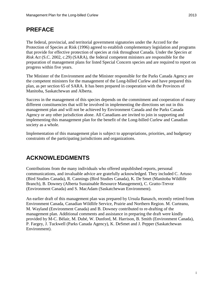## <span id="page-2-0"></span>**PREFACE**

The federal, provincial, and territorial government signatories under the Accord for the Protection of Species at Risk (1996) agreed to establish complementary legislation and programs that provide for effective protection of species at risk throughout Canada. Under the *Species at Risk Act* (S.C. 2002, c.29) (SARA), the federal competent ministers are responsible for the preparation of management plans for listed Special Concern species and are required to report on progress within five years.

The Minister of the Environment and the Minister responsible for the Parks Canada Agency are the competent ministers for the management of the Long-billed Curlew and have prepared this plan, as per section 65 of SARA. It has been prepared in cooperation with the Provinces of Manitoba, Saskatchewan and Alberta.

Success in the management of this species depends on the commitment and cooperation of many different constituencies that will be involved in implementing the directions set out in this management plan and will not be achieved by Environment Canada and the Parks Canada Agency or any other jurisdiction alone. All Canadians are invited to join in supporting and implementing this management plan for the benefit of the Long-billed Curlew and Canadian society as a whole.

Implementation of this management plan is subject to appropriations, priorities, and budgetary constraints of the participating jurisdictions and organizations.

# <span id="page-2-1"></span>**ACKNOWLEDGMENTS**

Contributions from the many individuals who offered unpublished reports, personal communications, and invaluable advice are gratefully acknowledged. They included C. Artuso (Bird Studies Canada), R. Cannings (Bird Studies Canada), K. De Smet (Manitoba Wildlife Branch), B. Downey (Alberta Sustainable Resource Management), C. Gratto-Trevor (Environment Canada) and S. MacAdam (Saskatchewan Environment).

An earlier draft of this management plan was prepared by Ursula Banasch, recently retired from Environment Canada, Canadian Wildlife Service, Prairie and Northern Region. M. Curteanu, M. Wayland (Environment Canada) and B. Downey contributed to re-drafting of the management plan. Additional comments and assistance in preparing the draft were kindly provided by M-C. Bélair, M. Dubé, W. Dunford, M. Harrison, B. Smith (Environment Canada), P. Fargey, J. Tuckwell (Parks Canada Agency), K. DeSmet and J. Pepper (Saskatchewan Environment).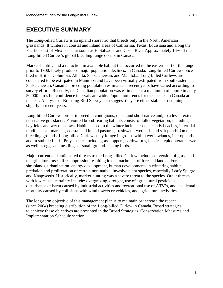<span id="page-3-0"></span>The Long-billed Curlew is an upland shorebird that breeds only in the North American grasslands. It winters in coastal and inland areas of California, Texas, Louisiana and along the Pacific coast of Mexico as far south as El Salvador and Costa Rica. Approximately 16% of the Long-billed Curlew's global breeding range occurs in Canada.

Market-hunting and a reduction in available habitat that occurred in the eastern part of the range prior to 1900, likely produced major population declines. In Canada, Long-billed Curlews once bred in British Columbia, Alberta, Saskatchewan, and Manitoba. Long-billed Curlews are considered to be extirpated in Manitoba and have been virtually extirpated from southeastern Saskatchewan. Canadian breeding population estimates in recent years have varied according to survey efforts. Recently, the Canadian population was estimated at a maximum of approximately 50,000 birds but confidence intervals are wide. Population trends for the species in Canada are unclear. Analyses of Breeding Bird Survey data suggest they are either stable or declining slightly in recent years.

Long-billed Curlews prefer to breed in contiguous, open, and short native and, to a lesser extent, non-native grasslands. Favoured brood-rearing habitats consist of taller vegetation, including hayfields and wet meadows. Habitats used in the winter include coastal sandy beaches, intertidal mudflats, salt marshes, coastal and inland pastures, freshwater wetlands and salt ponds. On the breeding grounds, Long-billed Curlews may forage in groups within wet lowlands, in croplands, and in stubble fields. Prey species include grasshoppers, earthworms, beetles, lepidopteran larvae as well as eggs and nestlings of small ground-nesting birds.

Major current and anticipated threats to the Long-billed Curlew include conversion of grasslands to agricultural uses, fire suppression resulting in encroachment of forested land and/or shrublands, urbanization, energy development, human developments in wintering habitat, predation and proliferation of certain non-native, invasive plant species, especially Leafy Spurge and Knapweeds. Historically, market-hunting was a severe threat to the species. Other threats with low causal certainty include: overgrazing, drought, use of agricultural pesticides, disturbance or harm caused by industrial activities and recreational use of ATV's, and accidental mortality caused by collisions with wind towers or vehicles, and agricultural activities.

The long-term objective of this management plan is to maintain or increase the recent (since 2004) breeding distribution of the Long-billed Curlew in Canada. Broad strategies to achieve these objectives are presented in the Broad Strategies, Conservation Measures and Implementation Schedule section.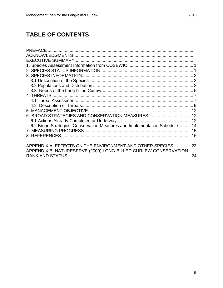# **TABLE OF CONTENTS**

| 6. BROAD STRATEGIES AND CONSERVATION MEASURES  12                           |    |
|-----------------------------------------------------------------------------|----|
|                                                                             |    |
| 6.2 Broad Strategies, Conservation Measures and Implementation Schedule  14 |    |
|                                                                             |    |
|                                                                             |    |
|                                                                             |    |
| APPENDIX A: EFFECTS ON THE ENVIRONMENT AND OTHER SPECIES 23                 |    |
| APPENDIX B: NATURESERVE (2009) LONG-BILLED CURLEW CONSERVATION              |    |
|                                                                             | 24 |
|                                                                             |    |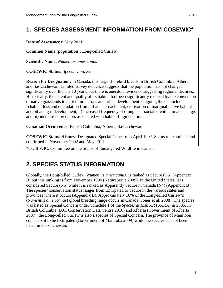# <span id="page-5-0"></span>**1. SPECIES ASSESSMENT INFORMATION FROM COSEWIC\***

**Date of Assessment:** May 2011

**Common Name (population):** Long-billed Curlew

**Scientific Name:** *Numenius americanus*

**COSEWIC Status:** Special Concern

**Reason for Designation:** In Canada, this large shorebird breeds in British Columbia, Alberta and Saskatchewan. Limited survey evidence suggests that the population has not changed significantly over the last 10 years, but there is anecdotal evidence suggesting regional declines. Historically, the extent and quality of its habitat has been significantly reduced by the conversion of native grasslands to agricultural crops and urban development. Ongoing threats include i) habitat loss and degradation from urban encroachment, cultivation of marginal native habitat and oil and gas development, ii) increased frequency of droughts associated with climate change, and iii) increase in predators associated with habitat fragmentation.

**Canadian Occurrence:** British Columbia, Alberta, Saskatchewan

**COSEWIC Status History:** Designated Special Concern in April 1992. Status re-examined and confirmed in November 2002 and May 2011.

\*COSEWIC: Committee on the Status of Endangered Wildlife in Canada

## <span id="page-5-1"></span>**2. SPECIES STATUS INFORMATION**

Globally, the Long-billed Curlew (*Numenius americanus*) is ranked as Secure (G5) (Appendix B) but this ranking is from November 1996 (NatureServe 2009). In the United States, it is considered Secure (N5) while it is ranked as Apparently Secure in Canada (N4) (Appendix B). The species' conservation status ranges from Extirpated to Secure in the various states and provinces where it occurs (Appendix B). Approximately 16% of the Long-billed Curlew's (*Numenius americanus*) global breeding range occurs in Canada (Jones et al. 2008)**.** The species was listed as Special Concern under Schedule 1 of the *Species at Risk Act* (SARA) in 2005. In British Columbia (B.C. Conservation Data Centre 2010) and Alberta (Government of Alberta 2007), the Long-billed Curlew is also a species of Special Concern. The province of Manitoba considers it to be Extirpated (Government of Manitoba 2009) while the species has not been listed in Saskatchewan.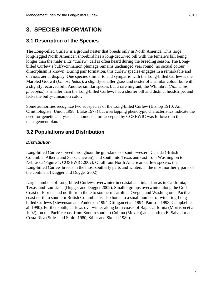# <span id="page-6-0"></span>**3. SPECIES INFORMATION**

## <span id="page-6-1"></span>**3.1 Description of the Species**

The Long-billed Curlew is a ground nester that breeds only in North America. This large long-legged North American shorebird has a long-decurved bill with the female's bill being longer than the male's. Its "curlew" call is often heard during the breeding season. The Longbilled Curlew's buffy-cinnamon plumage remains unchanged year round; no sexual colour dimorphism is known. During pair formation, this curlew species engages in a remarkable and obvious aerial display. One species similar to and sympatric with the Long-billed Curlew is the Marbled Godwit (*Limosa fedoa*), a slightly-smaller grassland nester of a similar colour but with a slightly recurved bill. Another similar species but a rare migrant, the Whimbrel (*Numenius phaeopus*) is smaller than the Long-billed Curlew, has a shorter bill and distinct headstripe, and lacks the buffy-cinnamon color.

Some authorities recognize two subspecies of the Long-billed Curlew (Bishop 1910, Am. Ornithologists' Union 1998, Blake 1977) but overlapping phenotypic characteristics indicate the need for genetic analysis. The nomenclature accepted by COSEWIC was followed in this management plan.

## <span id="page-6-2"></span>**3.2 Populations and Distribution**

## *Distribution*

Long-billed Curlews breed throughout the grasslands of south-western Canada (British Columbia, Alberta and Saskatchewan), and south into Texas and east from Washington to Nebraska (Figure 1, COSEWIC 2002). Of all four North American curlew species, the Long-billed Curlew breeds in the most southerly parts and winters in the most northerly parts of the continent (Dugger and Dugger 2002).

Large numbers of Long-billed Curlews overwinter in coastal and inland areas in California, Texas, and Louisiana (Dugger and Dugger 2002). Smaller groups overwinter along the Gulf Coast of Florida and north from there to southern Carolina. Oregon and Washington's Pacific coast north to southern British Columbia. is also home to a small number of wintering Longbilled Curlews (Stevenson and Anderson 1994, Gilligan et al. 1994, Paulson 1993, Campbell et al. 1990). Further south, curlews overwinter along both coasts of Baja California (Morrison et al. 1992); on the Pacific coast from Sonora south to Colima (Mexico) and south to El Salvador and Costa Rica (Stiles and Smith 1980, Stiles and Skutch 1989).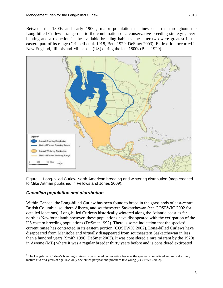Between the 1800s and early 1900s, major population declines occurred throughout the Long-billed Curlew's range due to the combination of a conservative breeding strategy<sup>[1](#page-7-0)</sup>, overhunting and a reduction in the available breeding habitats, the latter two were greatest in the eastern part of its range (Grinnell et al. 1918, Bent 1929, DeSmet 2003). Extirpation occurred in New England, Illinois and Minnesota (US) during the late 1800s (Bent 1929).



Figure 1. Long-billed Curlew North American breeding and wintering distribution (map credited to Mike Artman published in Fellows and Jones 2009).

### *Canadian population and distribution*

Within Canada, the Long-billed Curlew has been found to breed in the grasslands of east-central British Columbia, southern Alberta, and southwestern Saskatchewan (*see* COSEWIC 2002 for detailed locations). Long-billed Curlews historically wintered along the Atlantic coast as far north as Newfoundland; however, these populations have disappeared with the extirpation of the US eastern breeding populations (DeSmet 1992). There is some indication that the species' current range has contracted in its eastern portion (COSEWIC 2002). Long-billed Curlews have disappeared from Manitoba and virtually disappeared from southeastern Saskatchewan in less than a hundred years (Smith 1996, DeSmet 2003). It was considered a rare migrant by the 1920s in Aweme (MB) where it was a regular breeder thirty years before and is considered extirpated

<span id="page-7-0"></span> $1$  The Long-billed Curlew's breeding strategy is considered conservative because the species is long-lived and reproductively mature at 3 or 4 years of age, lays only one clutch per year and produces few young (COSEWIC 2002).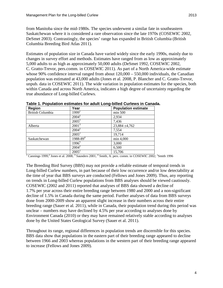from Manitoba since the mid-1980s. The species underwent a similar fate in southeastern Saskatchewan where it is considered a rare observation since the late 1970s (COSEWIC 2002, DeSmet 2003). Contrastingly, the species' range has expanded in British Columbia (British Columbia Breeding Bird Atlas 2011).

Estimates of population size in Canada have varied widely since the early 1990s, mainly due to changes in survey effort and methods. Estimates have ranged from as low as approximately 5,000 adults to as high as approximately 50,000 adults (DeSmet 1992, COSEWIC 2002, C. Gratto-Trevor, pers.comm. in COSEWIC 2011). As part of a North America-wide estimate whose 90% confidence interval ranged from about  $120,000 - 550,000$  individuals, the Canadian population was estimated at 43,000 adults (Jones et al. 2008, P. Blancher and C. Gratto-Trevor, unpub. data in COSEWIC 2011). The wide variation in population estimates for the species, both within Canada and across North America, indicates a high degree of uncertainty regarding the true abundance of Long-billed Curlews.

| <b>Region</b>    | Year              | <b>Population estimate</b> |
|------------------|-------------------|----------------------------|
| British Columbia | 1999 <sup>1</sup> | min 500                    |
|                  | $2004^2$          | 2,934                      |
|                  | $2005^2$          | 7,436                      |
| Alberta          | $2001^3$          | 23,884 ±4,762              |
|                  | $2004^2$          | 7,554                      |
|                  | $2005^2$          | 19,714                     |
| Saskatchewan     | $1988 - 89^{4}$   | min 4,000                  |
|                  | 1996 <sup>5</sup> | 3,000                      |
|                  | $2004^2$          | 6,500                      |
|                  | $2005^2$          | 15,706                     |

**Table 1. Population estimates for adult Long-billed Curlews in Canada.**

<sup>1</sup> Cannings 1999;<sup>2</sup> Jones et al. 2008;<sup>3</sup> Saunders 2001;<sup>4</sup> Smith, A. pers. comm. in COSEWIC 2002;<sup>5</sup> Smith 1996

The Breeding Bird Survey (BBS) may not provide a reliable estimate of temporal trends in Long-billed Curlew numbers, in part because of their low occurrence and/or low detectability at the time of year that BBS surveys are conducted (Fellows and Jones 2009). Thus, any reporting on trends in Long-billed Curlew populations from BBS analyses should be viewed cautiously. COSEWIC (2002 and 2011) reported that analyses of BBS data showed a decline of 1.7% per year across their entire breeding range between 1980 and 2000 and a non-significant decline of 1.5% in Canada during the same period. Further analyses of data from BBS surveys done from 2000-2009 show an apparent slight increase in their numbers across their entire breeding range (Sauer et al. 2011), while in Canada, their population trend during this period was unclear – numbers may have declined by 4.5% per year according to analyses done by Environment Canada (2010) or they may have remained relatively stable according to analyses done by the United States Geological Survey (Sauer et al. 2011).

Throughout its range, regional differences in population trends are discernible for this species. BBS data show that populations in the eastern part of their breeding range appeared to decline between 1966 and 2003 whereas populations in the western part of their breeding range appeared to increase (Fellows and Jones 2009).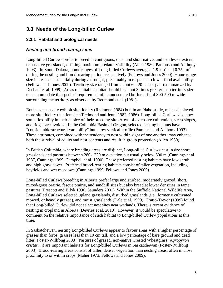## <span id="page-9-0"></span>**3.3 Needs of the Long-billed Curlew**

## **3.3.1 Habitat and biological needs**

## *Nesting and brood-rearing sites*

Long-billed Curlews prefer to breed in contiguous, open and short native, and to a lesser extent, non-native grasslands, offering maximum predator visibility (Allen 1980, Pampush and Anthony 1993). In South Dakota, home ranges of Long-billed Curlews averaged 1.9 km<sup>2</sup> and 0.75 km<sup>2</sup> during the nesting and brood-rearing periods respectively (Fellows and Jones 2009). Home range size increased substantially during a drought, presumably in response to lower food availability (Fellows and Jones 2009). Territory size ranged from about 6 – 20 ha per pair (summarized by Dechant et al. 1999). Areas of suitable habitat should be about 3 times greater than territory size to accommodate the species' requirement of an unoccupied buffer strip of 300-500 m wide surrounding the territory as observed by Redmond et al. (1981).

Both sexes usually exhibit site fidelity (Redmond 1984) but, in an Idaho study, males displayed more site fidelity than females (Redmond and Jenni 1982, 1986). Long-billed Curlews do show some flexibility in their choice of their breeding site. Areas of extensive cultivation, steep slopes, and ridges are avoided. In the Columbia Basin of Oregon, selected nesting habitats have "considerable structural variability" but a low vertical profile (Pambush and Anthony 1993). These attributes, combined with the tendency to nest within sight of one another, may enhance both the survival of adults and nest contents and result in group protection (Allen 1980).

In British Columbia, where breeding areas are disjunct, Long-billed Curlews nest in dry short grasslands and pastures between 280-1220 m elevation but usually below 600 m (Cannings et al. 1987, Cannings 1999, Campbell et al. 1990). These preferred nesting habitats have low shrub and high grass cover. Preferred brood-rearing habitats consist of taller vegetation, including hayfields and wet meadows (Cannings 1999, Fellows and Jones 2009).

Long-billed Curlews breeding in Alberta prefer large undisturbed, moderately grazed, short, mixed-grass prairie, fescue prairie, and sandhill sites but also breed at lower densities in tame pastures (Prescott and Bilyk 1996, Saunders 2001). Within the Suffield National Wildlife Area, Long-billed Curlews selected upland grasslands, disturbed grasslands (i.e., formerly cultivated, mowed, or heavily grazed), and moist grasslands (Dale et al. 1999). Gratto-Trevor (1999) found that Long-billed Curlew did not select nest sites near wetlands. There is recent evidence of nesting in cropland in Alberta (Devries et al. 2010). However, it would be speculative to comment on the relative importance of such habitat to Long-billed Curlew populations at this time.

In Saskatchewan, nesting Long-billed Curlews appear to favour areas with a higher percentage of grasses than forbs, grasses less than 10 cm tall, and a low percentage of bare ground and dead litter (Foster-Willfong 2003). Pastures of grazed, non-native Crested Wheatgrass (*Agropyron cristatum*) are important habitats for Long-billed Curlews in Saskatchewan (Foster-Willfong 2003). Brood-rearing areas consist of taller, denser vegetation than nesting areas, often in close proximity to or within crops (Maher 1973, Fellows and Jones 2009).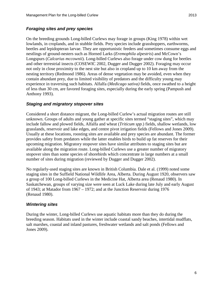## *Foraging sites and prey species*

On the breeding grounds Long-billed Curlews may forage in groups (King 1978) within wet lowlands, in croplands, and in stubble fields. Prey species include grasshoppers, earthworms, beetles and lepidopteran larvae. They are opportunistic feeders and sometimes consume eggs and nestlings of ground-nesters such as Horned Larks (*Eremophila alpestris*) and McCown's Longspurs (*Calcarius mccownii*). Long-billed Curlews also forage under cow dung for beetles and other terrestrial insects (COSEWIC 2002, Dugger and Dugger 2002). Foraging may occur not only in close proximity to the nest site but also in cropland up to 10 km away from the nesting territory (Redmond 1986). Areas of dense vegetation may be avoided, even when they contain abundant prey, due to limited visibility of predators and the difficulty young may experience in traversing such habitats. Alfalfa (*Medicago sativa)* fields, once swathed to a height of less than 30 cm, are favored foraging sites, especially during the early spring (Pampush and Anthony 1993).

### *Staging and migratory stopover sites*

Considered a short distance migrant, the Long-billed Curlew's actual migration routes are still unknown. Groups of adults and young gather at specific sites termed "staging sites", which may include fallow and plowed fields, Alfalfa and wheat (*Triticum spp.*) fields, shallow wetlands, low grasslands, reservoir and lake edges, and centre pivot irrigation fields (Fellows and Jones 2009). Usually at these locations, roosting sites are available and prey species are abundant. The former provides safety from predators while the latter enables birds to build up fat reserves for their upcoming migration. Migratory stopover sites have similar attributes to staging sites but are available along the migration route. Long-billed Curlews use a greater number of migratory stopover sites than some species of shorebirds which concentrate in large numbers at a small number of sites during migration (reviewed by Dugger and Dugger 2002).

No regularly-used staging sites are known in British Columbia. Dale et al. (1999) noted some staging sites in the Suffield National Wildlife Area, Alberta. During August 1920, observers saw a group of 100 Long-billed Curlews in the Medicine Hat, Alberta area (Renaud 1980). In Saskatchewan, groups of varying size were seen at Luck Lake during late July and early August of 1943; at Matador from 1967 – 1972; and at the Junction Reservoir during 1976 (Renaud 1980).

### *Wintering sites*

During the winter, Long-billed Curlews use aquatic habitats more than they do during the breeding season. Habitats used in the winter include coastal sandy beaches, intertidal mudflats, salt marshes, coastal and inland pastures, freshwater wetlands and salt ponds (Fellows and Jones 2009).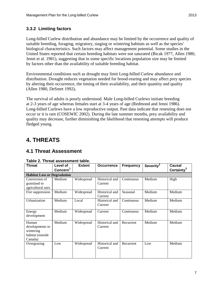## **3.3.2 Limiting factors**

Long-billed Curlew distribution and abundance may be limited by the occurrence and quality of suitable breeding, foraging, migratory, staging or wintering habitats as well as the species' biological characteristics. Such factors may affect management potential. Some studies in the United States reported that certain breeding habitats were not saturated (Bicak 1977, Allen 1980, Jenni et al. 1981), suggesting that in some specific locations population size may be limited by factors other than the availability of suitable breeding habitat.

Environmental conditions such as drought may limit Long-billed Curlew abundance and distribution. Drought reduces vegetation needed for brood-rearing and may affect prey species by altering their occurrence, the timing of their availability, and their quantity and quality (Allen 1980, DeSmet 1992)**.** 

The survival of adults is poorly understood. Male Long-billed Curlews initiate breeding at 2-3 years of age whereas females start at 3-4 years of age (Redmond and Jenni 1986). Long-billed Curlews have a low reproductive output. Past data indicate that renesting does not occur or it is rare (COSEWIC 2002). During the late summer months, prey availability and quality may decrease, further diminishing the likelihood that renesting attempts will produce fledged young.

# <span id="page-11-0"></span>**4. THREATS**

## <span id="page-11-1"></span>**4.1 Threat Assessment**

| <b>Threat</b>                                                        | Level of<br>Concern <sup>1</sup> | <b>Extent</b> | <b>Occurrence</b>         | <b>Frequency</b> | Severity <sup>2</sup> | <b>Causal</b><br>Certainty <sup>3</sup> |
|----------------------------------------------------------------------|----------------------------------|---------------|---------------------------|------------------|-----------------------|-----------------------------------------|
| <b>Habitat Loss or Degradation</b>                                   |                                  |               |                           |                  |                       |                                         |
| Conversion of<br>grassland to<br>agricultural uses                   | Medium                           | Widespread    | Historical and<br>Current | Continuous       | Medium                | High                                    |
| Fire suppression                                                     | Medium                           | Widespread    | Historical and<br>Current | Seasonal         | Medium                | Medium                                  |
| Urbanization                                                         | Medium                           | Local         | Historical and<br>Current | Continuous       | Medium                | Medium                                  |
| Energy<br>development                                                | Medium                           | Widespread    | Current                   | Continuous       | Medium                | Medium                                  |
| Human<br>developments in<br>wintering<br>habitat (outside<br>Canada) | Medium                           | Widespread    | Historical and<br>Current | Recurrent        | Medium                | Medium                                  |
| Overgrazing                                                          | Low                              | Widespread    | Historical and<br>Current | Recurrent        | Low                   | Medium                                  |

#### **Table 2. Threat assessment table.**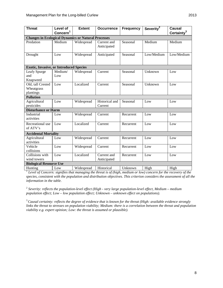| <b>Threat</b>                                              | Level of             | <b>Extent</b> | <b>Occurrence</b>          | <b>Frequency</b> | Severity <sup>2</sup> | <b>Causal</b>          |
|------------------------------------------------------------|----------------------|---------------|----------------------------|------------------|-----------------------|------------------------|
|                                                            | Concern <sup>1</sup> |               |                            |                  |                       | Certainty <sup>3</sup> |
| <b>Changes in Ecological Dynamics or Natural Processes</b> |                      |               |                            |                  |                       |                        |
| Predation                                                  | Medium               | Widespread    | Current and<br>Anticipated | Seasonal         | Medium                | Medium                 |
| Drought                                                    | Low                  | Widespread    | Anticipated                | Seasonal         | Low/Medium            | Low/Medium             |
| <b>Exotic, Invasive, or Introduced Species</b>             |                      |               |                            |                  |                       |                        |
| Leafy Spurge<br>and<br>Knapweed                            | Medium/<br>Low       | Widespread    | Current                    | Seasonal         | Unknown               | Low                    |
| Old, tall Crested<br>Wheatgrass<br>plantings               | Low                  | Localized     | Current                    | Seasonal         | Unknown               | Low                    |
| <b>Pollution</b>                                           |                      |               |                            |                  |                       |                        |
| Agricultural<br>pesticides                                 | Low                  | Widespread    | Historical and<br>Current  | Seasonal         | Low                   | Low                    |
| <b>Disturbance or Harm</b>                                 |                      |               |                            |                  |                       |                        |
| Industrial<br>activities                                   | Low                  | Widespread    | Current                    | Recurrent        | Low                   | Low                    |
| Recreational use<br>of ATV's                               | Low                  | Localized     | Current                    | Recurrent        | Low                   | Low                    |
| <b>Accidental Mortality</b>                                |                      |               |                            |                  |                       |                        |
| Agricultural<br>activities                                 | Low                  | Widespread    | Current                    | Recurrent        | Low                   | Low                    |
| Vehicle<br>collisions                                      | Low                  | Widespread    | Current                    | Recurrent        | Low                   | Low                    |
| Collisions with<br>wind towers                             | Low                  | Localized     | Current and<br>Anticipated | Recurrent        | Low                   | Low                    |
| <b>Biological Resource Use</b>                             |                      |               |                            |                  |                       |                        |
| Hunting                                                    | Low                  | Widespread    | Historical                 | Unknown          | High                  | High                   |

<sup>1</sup> *Level of Concern: signifies that managing the threat is of (high, medium or low) concern for the recovery of the species, consistent with the population and distribution objectives. This criterion considers the assessment of all the information in the table.*

<sup>2</sup> *Severity: reflects the population-level effect (High - very large population-level effect, Medium – medium population effect; Low – low population effect; Unknown – unknown effect on populations).*

<sup>3</sup>*Causal certainty: reflects the degree of evidence that is known for the threat (High: available evidence strongly*  links the threat to stresses on population viability; Medium: there is a correlation between the threat and population *viability e.g. expert opinion; Low: the threat is assumed or plausible).*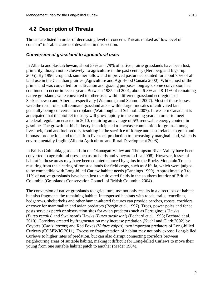## <span id="page-13-0"></span>**4.2 Description of Threats**

Threats are listed in order of decreasing level of concern. Threats ranked as "low level of concern" in Table 2 are not described in this section.

## *Conversion of grassland to agricultural uses*

In Alberta and Saskatchewan, about 57% and 79% of native prairie grasslands have been lost, primarily, though not exclusively, to agriculture in the past century (Nernberg and Ingstrup 2005). By 1996, cropland, summer fallow and improved pasture accounted for about 70% of all land use in the Canadian prairies (Agriculture and Agri-Food Canada 2000). While most of the prime land was converted for cultivation and grazing purposes long ago, some conversion has continued to occur in recent years. Between 1985 and 2001, about 6-8% and 8-11% of remaining native grasslands were converted to other uses within different grassland ecoregions of Saskatchewan and Alberta, respectively (Watmough and Schmoll 2007). Most of these losses were the result of small remnant grassland areas within larger mosaics of cultivated land generally being converted to cropland (Watmough and Schmoll 2007). In western Canada, it is anticipated that the biofuel industry will grow rapidly in the coming years in order to meet a federal regulation enacted in 2010, requiring an average of 5% renewable energy content in gasoline. The growth in this industry is anticipated to increase competition for grains among livestock, food and fuel sectors, resulting in the sacrifice of forage and pasturelands to grain and biomass production, and to a shift in livestock production to increasingly marginal land, which is environmentally fragile (Alberta Agriculture and Rural Development 2008).

In British Columbia, grasslands in the Okanagan Valley and Thompson River Valley have been converted to agricultural uses such as orchards and vineyards (Lea 2008). However, losses of habitat in those areas may have been counterbalanced by gains in the Rocky Mountain Trench resulting from the clearing of forested lands for field crops, such as Alfalfa, which were judged to be compatible with Long-billed Curlew habitat needs (Cannings 1999). Approximately 3 to 11% of native grasslands have been lost to cultivated fields in the southern interior of British Columbia (Grasslands Conservation Council of British Columbia 2004).

The conversion of native grasslands to agricultural use not only results in a direct loss of habitat but also fragments the remaining habitat. Interspersed habitats with roads, trails, fencelines, hedgerows, shelterbelts and other human-altered features can provide perches, roosts, corridors or cover for mammalian and avian predators (Bergin et al. 1997). Trees, power poles and fence posts serve as perch or observation sites for avian predators such as Ferruginous Hawks (*Buteo regalis*) and Swainson's Hawks (*Buteo swainsoni*) (Bechard et al. 1995; Bechard et al. 2010). Corridors created by fragmentation may increase predation (Kuehl and Clark 2002) by Coyotes (*Canis latrans*) and Red Foxes (*Vulpes vulpes*), two important predators of Long-billed Curlews (COSEWIC 2011). Excessive fragmentation of habitat may not only expose Long-billed Curlews to higher rates of predation, but can also disrupt connecting corridors between neighbouring areas of suitable habitat, making it difficult for Long-billed Curlews to move their young from one suitable habitat patch to another (Mader 1984).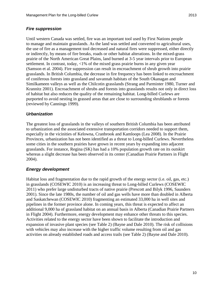Until western Canada was settled, fire was an important tool used by First Nations people to manage and maintain grasslands. As the land was settled and converted to agricultural uses, the use of fire as a management tool decreased and natural fires were suppressed, either directly or indirectly, by means of fire breaks, roads or other habitat alterations. In the mixed-grass prairie of the North American Great Plains, land burned at 3-5 year intervals prior to European settlement. In contrast, today, <1% of the mixed grass prairie burns in any given year (Samson et al. 2004). Fire suppression can result in encroachment of shrub growth into prairie grasslands. In British Columbia, the decrease in fire frequency has been linked to encroachment of coniferous forests into grassland and savannah habitats of the South Okanagan and Similkameen valleys as well as the Chilcotin grasslands (Strang and Parminter 1980, Turner and Krannitz 2001). Encroachment of shrubs and forests into grasslands results not only in direct loss of habitat but also reduces the quality of the remaining habitat. Long-billed Curlews are purported to avoid nesting in grassed areas that are close to surrounding shrublands or forests (reviewed by Cannings 1999).

#### *Urbanization*

The greatest loss of grasslands in the valleys of southern British Columbia has been attributed to urbanization and the associated extensive transportation corridors needed to support them, especially in the vicinities of Kelowna, Cranbrook and Kamloops (Lea 2008). In the Prairie Provinces, urbanization has not been identified as a threat to Long-billed Curlews. Nevertheless some cities in the southern prairies have grown in recent years by expanding into adjacent grasslands. For instance, Regina (SK) has had a 10% population growth rate on its outskirt whereas a slight decrease has been observed in its center (Canadian Prairie Partners in Flight 2004).

### *Energy development*

Habitat loss and fragmentation due to the rapid growth of the energy sector (i.e. oil, gas, etc.) in grasslands (COSEWIC 2010) is an increasing threat to Long-billed Curlews (COSEWIC 2011) who prefer large undisturbed tracts of native prairie (Prescott and Bilyk 1996, Saunders 2001). Since the late 1980s, the number of oil and gas wells have more than doubled in Alberta and Saskatchewan (COSEWIC 2010) fragmenting an estimated 33,000 ha in well sites and pipelines in the former province alone. In coming years, this threat is expected to affect an additional 9,000 ha of grassland habitat on an annual basis in Alberta (Canadian Prairie Partners in Flight 2004). Furthermore, energy development may enhance other threats to this species. Activities related to the energy sector have been shown to facilitate the introduction and expansion of invasive plant species (see Table 2) (Bayne and Dale 2010). The risk of collisions with vehicles may also increase with the higher traffic volume resulting from oil and gas activities on already established roads and access trails (see Table 2) (Bayne and Dale 2010).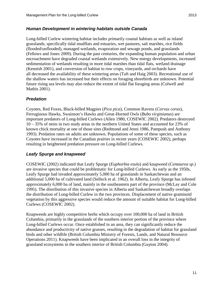#### *Human Development in wintering habitats outside Canada*

Long-billed Curlew wintering habitat includes primarily coastal habitats as well as inland grasslands, specifically tidal mudflats and estuaries, wet pastures, salt marshes, rice fields (flooded/unflooded), managed wetlands, evaporation and sewage ponds, and grasslands (Fellows and Jones 2009). During the past centuries, the expanding human population and urban encroachment have degraded coastal wetlands extensively. New energy developments, increased sedimentation of wetlands resulting in more tidal marshes than tidal flats, wetland drainage (Kennish 2001), and conversion of habitat to row crops, vineyards, and orchards have all decreased the availability of these wintering areas (Taft and Haig 2003). Recreational use of the shallow waters has increased but their effects on foraging shorebirds are unknown. Potential future rising sea levels may also reduce the extent of tidal flat foraging areas (Colwell and Mathis 2001).

### *Predation*

Coyotes, Red Foxes, Black-billed Magpies (*Pica pica*), Common Ravens (*Corvus corax*), Ferruginous Hawks, Swainson's Hawks and Great-Horned Owls (*Bubo virginianus*) are important predators of Long-billed Curlews (Allen 1980, COSEWIC 2002). Predators destroyed 10 – 35% of nests in two study areas in the northern United States and accounted for 23% of known chick mortality at one of those sites (Redmond and Jenni 1986, Pampush and Anthony 1993). Predation rates on adults are unknown. Populations of some of these species, such as Coyotes have increased in the Canadian prairies in recent years (COSEWIC 2002), perhaps resulting in heightened predation pressure on Long-billed Curlews.

#### *Leafy Spurge and knapweed*

COSEWIC (2002) indicated that Leafy Spurge (*Euphorbia esula*) and knapweed (*Centaurea sp.*) are invasive species that could be problematic for Long-billed Curlews. As early as the 1950s, Leafy Spurge had invaded approximately 5,000 ha of grasslands in Saskatchewan and an additional 5,000 ha of cultivated land (Selleck et al. 1962). In Alberta, Leafy Spurge has infested approximately 6,000 ha of land, mainly in the southeastern part of the province (McLay and Cole 1995). The distribution of this invasive species in Alberta and Saskatchewan broadly overlaps the distribution of Long-billed Curlew in the two provinces. Displacement of native graminoid vegetation by this aggressive species would reduce the amount of suitable habitat for Long-billed Curlews (COSEWIC 2002).

Knapweeds are highly competitive herbs which occupy over 100,000 ha of land in British Columbia, primarily in the grasslands of the southern interior portion of the province where Long-billed Curlews occur. Once established in an area, they can significantly reduce the abundance and productivity of native grasses, resulting in the degradation of habitat for grassland birds and other wildlife (British Columbia Ministry of Forests, Lands, and Natural Resource Operations 2011). Knapweeds have been implicated in an overall loss in the integrity of grassland ecosystems in the southern interior of British Columbia (Gayton 2004).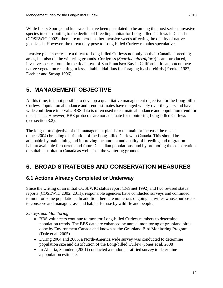While Leafy Spurge and knapweeds have been postulated to be among the most serious invasive species in contributing to the decline of breeding habitat for Long-billed Curlews in Canada (COSEWIC 2002), there are numerous other invasive weeds affecting the quality of native grasslands. However, the threat they pose to Long-billed Curlew remains speculative.

Invasive plant species are a threat to Long-billed Curlews not only on their Canadian breeding areas, but also on the wintering grounds. Cordgrass (*Spartina alterniflora*) is an introduced, invasive species found in the tidal areas of San Francisco Bay in California. It can outcompete native vegetation resulting in less suitable tidal flats for foraging by shorebirds (Frenkel 1987, Daehler and Strong 1996).

# <span id="page-16-0"></span>**5. MANAGEMENT OBJECTIVE**

At this time, it is not possible to develop a quantitative management objective for the Long-billed Curlew. Population abundance and trend estimates have ranged widely over the years and have wide confidence intervals. BBS data is often used to estimate abundance and population trend for this species. However, BBS protocols are not adequate for monitoring Long-billed Curlews (see section 3.2).

The long-term objective of this management plan is to maintain or increase the recent (since 2004) breeding distribution of the Long-billed Curlew in Canada. This should be attainable by maintaining and improving the amount and quality of breeding and migration habitat available for current and future Canadian populations, and by promoting the conservation of suitable habitat in Canada as well as on the wintering grounds.

# <span id="page-16-1"></span>**6. BROAD STRATEGIES AND CONSERVATION MEASURES**

## <span id="page-16-2"></span>**6.1 Actions Already Completed or Underway**

Since the writing of an initial COSEWIC status report (DeSmet 1992) and two revised status reports (COSEWIC 2002, 2011), responsible agencies have conducted surveys and continued to monitor some populations. In addition there are numerous ongoing activities whose purpose is to conserve and manage grassland habitat for use by wildlife and people.

*Surveys and Monitoring*

- BBS volunteers continue to monitor Long-billed Curlew numbers to determine population trends. The BBS data are enhanced by annual monitoring of grassland birds done by Environment Canada and known as the Grassland Bird Monitoring Program (Dale et al. 2005).
- During 2004 and 2005, a North-America wide survey was conducted to determine population size and distribution of the Long-billed Curlew (Jones et al. 2008).
- In Alberta, Saunders (2001) conducted a random stratified survey to determine a population estimate.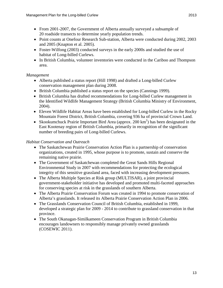- From 2001-2007, the Government of Alberta annually surveyed a subsample of 20 roadside transects to determine yearly population trends.
- Point counts at Onefour Research Sub-station, Alberta were conducted during 2002, 2003 and 2005 (Knapton et al. 2005).
- Foster-Wilfong (2003) conducted surveys in the early 2000s and studied the use of habitat of Long-billed Curlews.
- In British Columbia, volunteer inventories were conducted in the Cariboo and Thompson area.

## *Management*

- Alberta published a status report (Hill 1998) and drafted a Long-billed Curlew conservation management plan during 2008.
- British Columbia published a status report on the species (Cannings 1999).
- British Columbia has drafted recommendations for Long-billed Curlew management in the Identified Wildlife Management Strategy (British Columbia Ministry of Environment, 2004).
- Eleven Wildlife Habitat Areas have been established for Long-billed Curlew in the Rocky Mountain Forest District, British Columbia, covering 936 ha of provincial Crown Land.
- Skookumchuck Prairie Important Bird Area (approx.  $200 \text{ km}^2$ ) has been designated in the East Kootenay region of British Columbia, primarily in recognition of the significant number of breeding pairs of Long-billed Curlews.

## *Habitat Conservation and Outreach*

- The Saskatchewan Prairie Conservation Action Plan is a partnership of conservation organizations, created in 1995, whose purpose is to promote, sustain and conserve the remaining native prairie.
- The Government of Saskatchewan completed the Great Sands Hills Regional Environmental Study in 2007 with recommendations for protecting the ecological integrity of this sensitive grassland area, faced with increasing development pressures.
- The Alberta Multiple Species at Risk group (MULTISAR), a joint provincial government-stakeholder initiative has developed and promoted multi-faceted approaches for conserving species at risk in the grasslands of southern Alberta.
- The Alberta Prairie Conservation Forum was created in 1994 to promote conservation of Alberta's grasslands. It released its Alberta Prairie Conservation Action Plan in 2006.
- The Grasslands Conservation Council of British Columbia, established in 1999, developed a strategic plan for 2009 - 2014 to contribute to grassland conservation in that province.
- The South Okanagan-Similkameen Conservation Program in British Columbia encourages landowners to responsibly manage privately owned grasslands (COSEWIC 2011).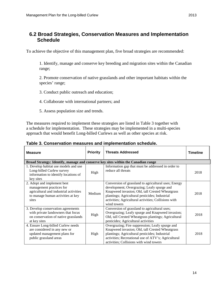## <span id="page-18-0"></span>**6.2 Broad Strategies, Conservation Measures and Implementation Schedule**

To achieve the objective of this management plan, five broad strategies are recommended:

1. Identify, manage and conserve key breeding and migration sites within the Canadian range;

2. Promote conservation of native grasslands and other important habitats within the species' range;

- 3. Conduct public outreach and education;
- 4. Collaborate with international partners; and
- 5. Assess population size and trends.

The measures required to implement these strategies are listed in Table 3 together with a schedule for implementation. These strategies may be implemented in a multi-species approach that would benefit Long-billed Curlews as well as other species at risk.

| <b>Measure</b>                                                                                                                                  | <b>Priority</b> | <b>Threats Addressed</b>                                                                                                                                                                                                                                                       | <b>Timeline</b> |
|-------------------------------------------------------------------------------------------------------------------------------------------------|-----------------|--------------------------------------------------------------------------------------------------------------------------------------------------------------------------------------------------------------------------------------------------------------------------------|-----------------|
| Broad Strategy: Identify, manage and conserve key sites within the Canadian range                                                               |                 |                                                                                                                                                                                                                                                                                |                 |
| 1. Develop habitat use models and use<br>Long-billed Curlew survey<br>information to identify locations of<br>key sites                         | High            | Information gap that must be addressed in order to<br>reduce all threats                                                                                                                                                                                                       | 2018            |
| 2. Adopt and implement best<br>management practices for<br>agricultural and industrial activities<br>to manage human activities at key<br>sites | Medium          | Conversion of grassland to agricultural uses; Energy<br>development; Overgrazing; Leafy spurge and<br>Knapweed invasion; Old, tall Crested Wheatgrass<br>plantings; Agricultural pesticides; Industrial<br>activities; Agricultural activities; Collisions with<br>wind towers | 2018            |
| 3. Develop conservation agreements<br>with private landowners that focus<br>on conservation of native grasslands<br>at key sites                | High            | Conversion of grassland to agricultural uses;<br>Overgrazing; Leafy spurge and Knapweed invasion;<br>Old, tall Crested Wheatgrass plantings; Agricultural<br>pesticides; Agricultural activities                                                                               | 2018            |
| 4. Ensure Long-billed Curlew needs<br>are considered in any new or<br>updated management plans for<br>public grassland areas                    | High            | Overgrazing; Fire suppression; Leafy spurge and<br>Knapweed invasion; Old, tall Crested Wheatgrass<br>plantings; Agricultural pesticides; Industrial<br>activities; Recreational use of ATV's; Agricultural<br>activities; Collisions with wind towers                         | 2018            |

**Table 3. Conservation measures and implementation schedule.**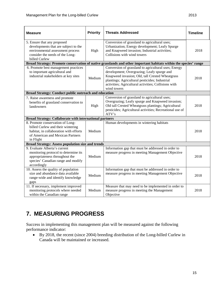| <b>Measure</b>                                                                                                                                                   | <b>Priority</b> | <b>Threats Addressed</b>                                                                                                                                                                                                                                                       | <b>Timeline</b> |
|------------------------------------------------------------------------------------------------------------------------------------------------------------------|-----------------|--------------------------------------------------------------------------------------------------------------------------------------------------------------------------------------------------------------------------------------------------------------------------------|-----------------|
| 5. Ensure that any proposed<br>developments that are subject to the<br>environmental assessment process<br>consider the needs of the Long-<br>billed Curlew      | High            | Conversion of grassland to agricultural uses;<br>Urbanization; Energy development; Leafy Spurge<br>and Knapweed invasion; Industrial activities;<br>Collisions with wind towers                                                                                                | 2018            |
|                                                                                                                                                                  |                 | Broad Strategy: Promote conservation of native grasslands and other important habitats within the species' range                                                                                                                                                               |                 |
| 6. Promote best management practices<br>to important agricultural and<br>industrial stakeholders at key sites                                                    | Medium          | Conversion of grassland to agricultural uses; Energy<br>development; Overgrazing; Leafy spurge and<br>Knapweed invasion; Old, tall Crested Wheatgrass<br>plantings; Agricultural pesticides; Industrial<br>activities; Agricultural activities; Collisions with<br>wind towers | 2018            |
| Broad Strategy: Conduct public outreach and education                                                                                                            |                 |                                                                                                                                                                                                                                                                                |                 |
| 7. Raise awareness and promote<br>benefits of grassland conservation to<br>landowners                                                                            | High            | Conversion of grassland to agricultural uses;<br>Overgrazing; Leafy spurge and Knapweed invasion;<br>Old tall Crested Wheatgrass plantings; Agricultural<br>pesticides; Agricultural activities; Recreational use of<br>ATV's                                                  | 2018            |
| <b>Broad Strategy: Collaborate with international partners</b>                                                                                                   |                 |                                                                                                                                                                                                                                                                                |                 |
| 8. Promote conservation of Long-<br>billed Curlew and their wintering<br>habitat, in collaboration with efforts<br>of American and Mexican Partners<br>in Flight | Medium          | Human developments in wintering habitats                                                                                                                                                                                                                                       | 2018            |
| <b>Broad Strategy: Assess population size and trends</b>                                                                                                         |                 |                                                                                                                                                                                                                                                                                |                 |
| 9. Evaluate Alberta's current<br>monitoring protocol to determine its<br>appropriateness throughout the<br>species' Canadian range and modify<br>accordingly     | Medium          | Information gap that must be addressed in order to<br>measure progress in meeting Management Objective                                                                                                                                                                         | 2018            |
| 10. Assess the quality of population<br>size and abundance data available<br>range-wide and identify knowledge<br>gaps                                           | Medium          | Information gap that must be addressed in order to<br>measure progress in meeting Management Objective                                                                                                                                                                         | 2018            |
| 11. If necessary, implement improved<br>monitoring protocols where needed<br>within the Canadian range                                                           | Medium          | Measure that may need to be implemented in order to<br>measure progress in meeting the Management<br>Objective                                                                                                                                                                 | 2018            |

# <span id="page-19-0"></span>**7. MEASURING PROGRESS**

Success in implementing this management plan will be measured against the following performance indicator:

• By 2018, the recent (since 2004) breeding distribution of the Long-billed Curlew in Canada will be maintained or increased.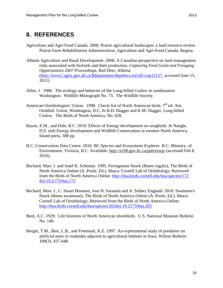## <span id="page-20-0"></span>**8. REFERENCES**

- Agriculture and Agri-Food Canada. 2000. Prairie agricultural landscapes: a land resource review. Prairie Farm Rehabilitation Administration, Agriculture and Agri-Food Canada, Regina.
- Alberta Agriculture and Rural Development. 2008. A Canadian perspective on land management risks associated with biofuels and their production. *Capturing Feed Grain and Foraging Opportunities 2007 Proceedings*, Red Deer, Alberta [\(http://www1.agric.gov.ab.ca/\\$department/deptdocs.nsf/all/crop12127,](http://www1.agric.gov.ab.ca/$department/deptdocs.nsf/all/crop12127) accessed June 15, 2011)
- Allen, J. 1980. The ecology and behavior of the Long-billed Curlew in southeastern Washington. Wildlife Monograph No. 73. The Wildlife Society.
- American Ornithologists' Union. 1998. Check-list of North American birds.  $7<sup>th</sup>$  ed. Am. Ornithol. Union, Washington, D.C. *In* B.D. Dugger and K.M. Dugger, Long-billed Curlew. The Birds of North America, No. 628.
- Bayne, E.M., and Dale, B.C. 2010. Effects of Energy development on songbirds. *In* Naugle, D.E. (ed) Energy development and Wildlife Conservation in western North America, Island press, 308 pp.
- B.C. Conservation Data Centre. 2010. BC Species and Ecosystems Explorer. B.C. Ministry. of Environment. Victoria, B.C. Available:<http://a100.gov.bc.ca/pub/eswp/> (accessed Feb 8, 2010).
- Bechard, Marc J. and Josef K. Schmutz. 1995. Ferruginous Hawk (Buteo regalis), The Birds of North America Online (A. Poole, Ed.). Ithaca: Cornell Lab of Ornithology; Retrieved from the Birds of North America Online:<http://bna.birds.cornell.edu/bna/species/172> [doi:10.2173/bna.172](http://dx.doi.org/10.2173/bna.172)
- Bechard, Marc J., C. Stuart Houston, Jose H. Sarasola and A. Sidney England. 2010. Swainson's Hawk (Buteo swainsoni), The Birds of North America Online (A. Poole, Ed.). Ithaca: Cornell Lab of Ornithology; Retrieved from the Birds of North America Online: [http://bna.birds.cornell.edu/bna/species/265doi:10.2173/bna.265](http://bna.birds.cornell.edu/bna/species/265)
- Bent, A.C. 1929. Life histories of North American shorebirds. U.S. National Museum Bulletin No. 146.
- Bergin, T.M., Best, L.B., and Freemark, K.E. 1997. An experimental study of predation on artificial nests in roadsides adjacent to agricultural habitats in Iowa. Wilson Bulletin 109(3): 437-448.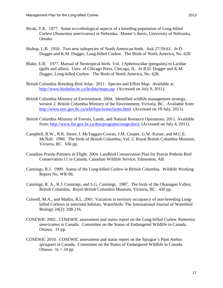- Bicak, T.K. 1977. Some eco-ethological aspects of a breeding population of Long-billed Curlew (*Numenius americanus*) in Nebraska. Master's thesis, University of Nebraska, Omaha.
- Bishop, L.B. 1910. Two new subspecies of North American birds. Auk 27:59-61. *In* D. Dugger and K.M. Dugger, Long-billed Curlew. The Birds of North America, No. 628.
- Blake, E.R. 1977. Manual of Neotropical birds. Vol. 1:Spheniscidae (penguins) to Laridae (gulls and allies). Univ. of Chicago Press, Chicago, IL. *In* B.D. Dugger and K.M. Dugger, Long-billed Curlew. The Birds of North America, No. 628.
- British Columbia Breeding Bird Atlas. 2011. Species and Effort Map. Available at: <http://www.birdatlas.bc.ca/bcdata/maps.jsp>(Accessed on July 9, 2011).
- British Columbia Ministry of Environment. 2004. Identified wildlife management strategy, version 2. British Columbia Ministry of the Environment, Victoria, BC. Available from: [http://www.env.gov.bc.ca/wld/frpa/iwms/iwms.html.](http://www.env.gov.bc.ca/wld/frpa/iwms/iwms.html) (Accessed on 10 July, 2011).
- British Columbia Ministry of Forests, Lands, and Natural Resource Operations. 2011. Available from:<http://www.for.gov.bc.ca/dos/programs/range/docs/> (Accessed on July 4, 2011).
- Campbell, R.W., N.K. Dawe, I. McTaggart-Cowan, J.M. Cooper, G.W. Kaiser, and M.C.E. McNall. 1990. The birds of British Columbia, Vol. 2. Royal British Columbia Museum, Victoria, BC. 636 pp.
- Canadian Prairie Partners in Flight. 2004. Landbird Conservation Plan for Prairie Pothole Bird Conservation 11 in Canada. Canadian Wildlife Service, Edmonton, AB.
- Cannings, R.J. 1999. Status of the Long-billed Curlew in British Columbia. Wildlife Working Report No. WR-96.
- Cannings, R. A., R.J. Cannings, and S.G. Cannings. 1987. The birds of the Okanagan Valley, British Columbia. Royal British Columbia Museum, Victoria, BC. 420 pp.
- Colwell, M.A., and Mathis, R.L. 2001. Variation in territory occupancy of non-breeding Longbilled Curlews in intertidal habitats. Waterbirds: The International Journal of Waterbird Biology 24(2): 208-216.
- COSEWIC 2002. COSEWIC assessment and status report on the Long-billed Curlew *Numenius americanus* in Canada. Committee on the Status of Endangered Wildlife in Canada. Ottawa. 31 pp.
- COSEWIC 2010. COSEWIC assessment and status report on the Sprague's Pipit *Anthus spragueii* in Canada. Committee on the Status of Endangered Wildlife in Canada. Ottawa. Ix  $+34$  pp.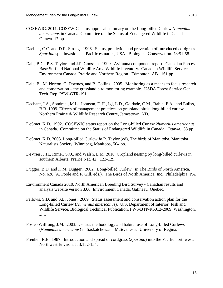- COSEWIC. 2011. COSEWIC status appraisal summary on the Long-billed Curlew *Numenius americanus* in Canada. Committee on the Status of Endangered Wildlife in Canada. Ottawa. 17 pp.
- Daehler, C.C. and D.R. Strong. 1996. Status, prediction and prevention of introduced cordgrass *Spartina* spp. invasions in Pacific estuaries, USA. Biological Conservation. 78:51-58.
- Dale, B.C., P.S. Taylor, and J.P. Goossen. 1999. Avifauna component report. Canadian Forces Base Suffield National Wildlife Area Wildlife Inventory. Canadian Wildlife Service, Environment Canada, Prairie and Northern Region. Edmonton, AB. 161 pp.
- Dale, B., M. Norton, C. Downes, and B. Collins. 2005. Monitoring as a means to focus research and conservation – the grassland bird monitoring example. USDA Forest Service Gen Tech. Rep. PSW-GTR-191.
- Dechant, J.A., Sondreal, M.L., Johnson, D.H., Igl, L.D., Goldade, C.M., Rabie, P.A., and Euliss, B.R. 1999. Effects of management practices on grassland birds: long-billed curlew. Northern Prairie & Wildlife Research Centre, Jamestown, ND.
- DeSmet, K.D. 1992. COSEWIC status report on the Long-billed Curlew *Numerius americanus*  in Canada. Committee on the Status of Endangered Wildlife in Canada. Ottawa. 33 pp.
- DeSmet. K.D. 2003. Long-billed Curlew *In* P. Taylor (ed), The birds of Manitoba. Manitoba Naturalists Society. Winnipeg, Manitoba, 504 pp.
- DeVries, J.H., Rimer, S.O., and Walsh, E.M. 2010. Cropland nesting by long-billed curlews in southern Alberta. Prairie Nat. 42: 123-129.
- Dugger, B.D. and K.M. Dugger. 2002. Long-billed Curlew. *In* The Birds of North America, No. 628 (A. Poole and F. Gill, eds.). The Birds of North America, Inc., Philadelphia, PA.
- Environment Canada 2010. North American Breeding Bird Survey Canadian results and analysis website version 3.00. Environment Canada, Gatineau, Quebec.
- Fellows, S.D. and S.L. Jones. 2009. Status assessment and conservation action plan for the Long-billed Curlew (*Numenius americanus*). U.S. Department of Interior, Fish and Wildlife Service, Biological Technical Publication, FWS/BTP-R6012-2009, Washington, D.C.
- Foster-Willfong, J.M. 2003. Census methodology and habitat use of Long-billed Curlews (*Numenius americanus*) in Saskatchewan. M.Sc. thesis. University of Regina.
- Frenkel, R.E. 1987. Introduction and spread of cordgrass (*Spartina*) into the Pacific northwest. Northwest Environ. J. 3:152-154.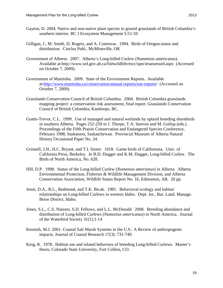- Gayton, D. 2004. Native and non-native plant species in grazed grasslands of British Columbia's southern interior. BC J Ecosystem Management 5:51-59
- Gilligan, J., M. Smith, D. Rogers, and A. Contreras. 1994. Birds of Oregon:status and distribution. Cinclus Publ., McMinnville, OR
- Government of Alberta. 2007. Alberta's Long-billed Curlew (Numenius americanus). Available at:http://www.srd.gov.ab.ca/fishwildlife/escc/speciesassessed.aspx (Accessed on October 7, 2009).
- Government of Manitoba. 2009. State of the Environment Reports. Available at[:http://www.manitoba.ca/conservation/annual-reports/soe-reports/](http://www.manitoba.ca/conservation/annual-reports/soe-reports) (Accessed on October 7, 2009).
- Grasslands Conservation Council of British Columbia. 2004. British Columbia grasslands mapping project: a conservation risk assessment, final report. Grasslands Conservation Council of British Columbia, Kamloops, BC.
- Gratto-Trevor, C.L. 1999. Use of managed and natural wetlands by upland breeding shorebirds in southern Alberta. Pages 252-259 *in* J. Thorpe, T.A. Steeves and M. Gollop (eds.). Proceedings of the Fifth Prairie Conservation and Endangered Species Conference, February 1998, Saskatoon, Saskatchewan. Provincial Museum of Alberta Natural History Occasional Paper No. 24.
- Grinnell, J.H., H.C. Bryant, and T.I. Storer. 1918. Game birds of Californoia. Univ. of California Press, Berkeley. *In* B.D. Dugger and K.M. Dugger, Long-billed Curlew. The Birds of North America, No. 628.
- Hill, D.P. 1998. Status of the Long-billed Curlew (*Numenius amerianus*) in Alberta. Alberta Environmental Protection, Fisheries & Wildlife Management Division, and Alberta Conservation Association, Wildlife Status Report No. 16, Edmonton, AB. 20 pp.
- Jenni, D.A., R.L., Redmond, and T.K. Bicak. 1981. Behavioral ecology and habitat relationships on Long-billed Curlews in western Idaho. Dept. Int., Bur. Land. Manage. Boise District, Idaho.
- Jones, S.L., C.S. Nations, S.D. Fellows, and L.L. McDonald. 2008. Breeding abundance and distribution of Long-billed Curlews (*Numenius americanus*) in North America. Journal of the Waterbird Society 31(1):1-14
- Kennish, M.J. 2001. Coastal Salt Marsh Systems in the U.S.: A Review of anthropogenic impacts. Journal of Coastal Research 17(3): 731-749.
- King, R. 1978. Habitat use and related behaviors of breeding Long-billed Curlews. Master's thesis, Colorado State University, Fort Collins, CO.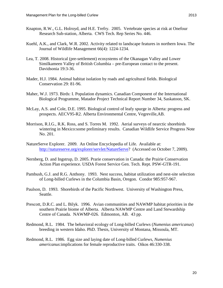- Knapton, R.W., G.L. Holroyd, and H.E. Trefry. 2005. Vertebrate species at risk at Onefour Research Sub-station, Alberta. CWS Tech. Rep Series No. 446.
- Kuehl, A.K., and Clark, W.R. 2002. Activity related to landscape features in northern Iowa. The Journal of Wildlife Management 66(4): 1224-1234.
- Lea, T. 2008. Historical (pre-settlement) ecosystems of the Okanagan Valley and Lower Similkameen Valley of British Columbia – pre-European contact to the present. Davidsonia 19:3-36.
- Mader, H.J. 1984. Animal habitat isolation by roads and agricultural fields. Biological Conservation 29: 81-96.
- Maher, W.J. 1973. Birds: I. Population dynamics. Canadian Component of the International Biological Programme, Matador Project Technical Report Number 34, Saskatoon, SK.
- McLay, A.S. and Cole, D.E. 1995. Biological control of leafy spurge in Alberta: progress and prospects. AECV95-R2. Alberta Environmental Centre, Vegreville,AB.
- Morrison, R.I.G., R.K. Ross, and S. Torres M. 1992. Aerial surveys of nearctic shorebirds wintering in Mexico:some preliminary results. Canadian Wildlife Service Progress Note No. 201.
- NatureServe Explorer. 2009. An Online Encyclopedia of Life. Available at: [http://natureserve.org/explorer/servlet/NatureServe?](http://natureserve.org/explorer/servlet/NatureServe) (Accessed on October 7, 2009).
- Nernberg, D. and Ingstrup, D. 2005. Prarie conservation in Canada: the Prairie Conservation Action Plan experience. USDA Forest Service Gen. Tech. Rept. PSW-GTR-191.
- Pambush, G.J. and R.G. Anthony. 1993. Nest success, habitat utilization and nest-site selection of Long-billed Curlews in the Columbia Basin, Oregon. Condor 985:957-967.
- Paulson, D. 1993. Shorebirds of the Pacific Northwest. University of Washington Press, Seattle.
- Prescott, D.R.C. and L. Bilyk. 1996. Avian communities and NAWMP habitat priorities in the southern Prairie biome of Alberta. Alberta NAWMP Centre and Land Stewardship Centre of Canada. NAWMP-026. Edmonton, AB. 43 pp.
- Redmond, R.L. 1984. The behavioral ecology of Long-billed Curlews (*Numenius americanus*) breeding in western Idaho. PhD. Thesis, University of Montana, Missoula, MT.
- Redmond, R.L. 1986. Egg size and laying date of Long-billed Curlews, *Numenius americanus*:implications for female reproductive traits. Oikos 46:330-338.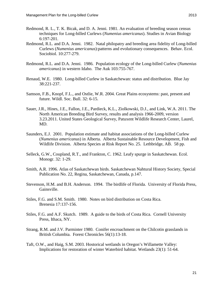- Redmond, R. L., T. K. Bicak, and D. A. Jenni. 1981. An evaluation of breeding season census techniques for Long-billed Curlews (*Numenius americanus*). Studies in Avian Biology 6:197-201.
- Redmond, R.L. and D.A. Jenni. 1982. Natal philopatry and breeding area fidelity of Long-billed Curlews (*Numenius americanus*):patterns and evolutionary consequences. Behav. Ecol. Sociobiol. 10:277-279.
- Redmond, R.L. and D.A. Jenni. 1986. Population ecology of the Long-billed Curlew (*Numenius americanus*) in western Idaho. The Auk 103:755-767.
- Renaud, W.E. 1980. Long-billed Curlew in Saskatchewan: status and distribution. Blue Jay 38:221-237.
- Samson, F.B., Knopf, F.L., and Ostlie, W.R. 2004. Great Plains ecosystems: past, present and future. Wildl. Soc. Bull. 32: 6-15.
- Sauer, J.R., Hines, J.E., Fallon, J.E., Pardieck, K.L., Ziolkowski, D.J., and Link, W.A. 2011. The North American Breeding Bird Survey, results and analysis 1966-2009, version 3.23.2011. United States Geological Survey, Patuxent Wildlife Research Center, Laurel, MD.
- Saunders, E.J. 2001. Population estimate and habitat associations of the Long-billed Curlew (*Numenius americanus*) in Alberta. Alberta Sustainable Resource Development, Fish and Wildlife Division. Alberta Species at Risk Report No. 25. Lethbridge, AB. 58 pp.
- Selleck, G.W., Coupland, R.T., and Frankton, C. 1962. Leafy spurge in Saskatchewan. Ecol. Monogr. 32: 1-29.
- Smith, A.R. 1996. Atlas of Saskatchewan birds. Saskatchewan Nahtural History Society, Special Publication No. 22, Regina, Saskatchewan, Canada, p.147.
- Stevenson, H.M. and B.H. Anderson. 1994. The birdlife of Florida. University of Florida Press, Gainsville.
- Stiles, F.G. and S.M. Smith. 1980. Notes on bird distribution on Costa Rica. Brenesia 17:137-156.
- Stiles, F.G. and A.F. Skutch. 1989. A guide to the birds of Costa Rica. Cornell University Press, Ithaca, NY.
- Strang, R.M. and J.V. Parminter 1980. Conifer encroachment on the Chilcotin grasslands in British Columbia. Forest Chronicles 56(1):13-18.
- Taft, O.W., and Haig, S.M. 2003. Hostorical wetlands in Oregon's Willamette Valley: Implications for restoration of winter Waterbird habitat. Wetlands 23(1): 51-64.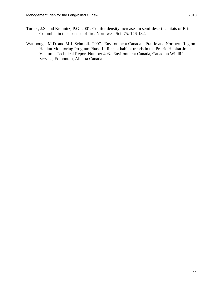- Turner, J.S. and Krannitz, P.G. 2001. Conifer density increases in semi-desert habitats of British Columbia in the absence of fire. Northwest Sci. 75: 176-182.
- Watmough, M.D. and M.J. Schmoll. 2007. Environment Canada's Prairie and Northern Region Habitat Monitoring Program Phase II. Recent habitat trends in the Prairie Habitat Joint Venture. Technical Report Number 493. Environment Canada, Canadian Wildlife Service, Edmonton, Alberta Canada.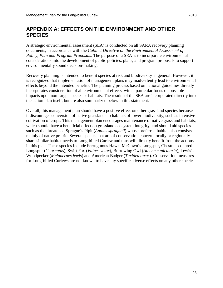## <span id="page-27-0"></span>**APPENDIX A: EFFECTS ON THE ENVIRONMENT AND OTHER SPECIES**

A strategic environmental assessment (SEA) is conducted on all SARA recovery planning documents, in accordance with the *Cabinet Directive on the Environmental Assessment of Policy, Plan and Program Proposals*. The purpose of a SEA is to incorporate environmental considerations into the development of public policies, plans, and program proposals to support environmentally sound decision-making.

Recovery planning is intended to benefit species at risk and biodiversity in general. However, it is recognized that implementation of management plans may inadvertently lead to environmental effects beyond the intended benefits. The planning process based on national guidelines directly incorporates consideration of all environmental effects, with a particular focus on possible impacts upon non-target species or habitats. The results of the SEA are incorporated directly into the action plan itself, but are also summarized below in this statement.

Overall, this management plan should have a positive effect on other grassland species because it discourages conversion of native grasslands to habitats of lower biodiversity, such as intensive cultivation of crops. This management plan encourages maintenance of native grassland habitats, which should have a beneficial effect on grassland ecosystem integrity, and should aid species such as the threatened Sprague's Pipit (*Anthus spragueii*) whose preferred habitat also consists mainly of native prairie. Several species that are of conservation concern locally or regionally share similar habitat needs to Long-billed Curlew and thus will directly benefit from the actions in this plan. These species include Ferruginous Hawk, McCown's Longspur, Chestnut-collared Longspur (*C. ornatus*), Swift Fox (*Vulpes velox*), Burrowing Owl (*Athene cunicularia*), Lewis's Woodpecker (*Melanerpes lewis*) and American Badger (*Taxidea taxus*). Conservation measures for Long-billed Curlews are not known to have any specific adverse effects on any other species.